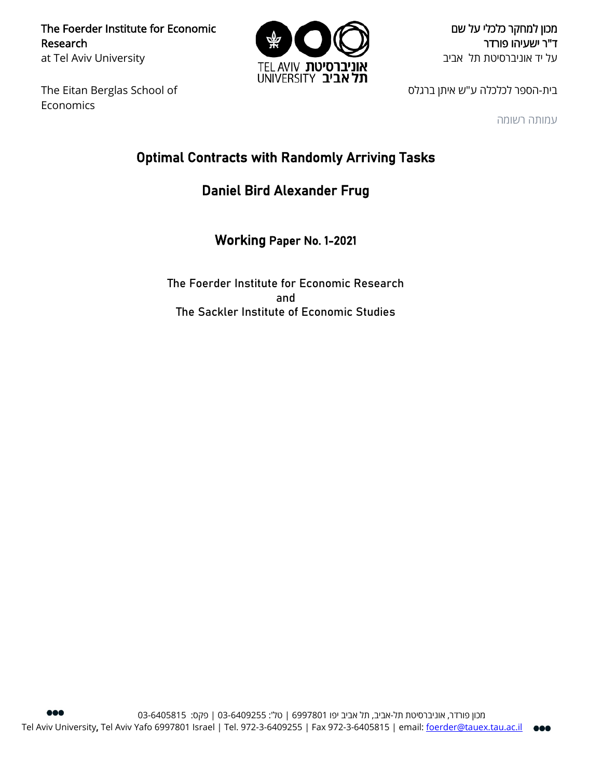The Foerder Institute for Economic Research at Tel Aviv University

The Eitan Berglas School of Economics



מכון למחקר כלכלי על שם ד"ר ישעיהו פורדר על יד אוניברסיטת תל אביב

בית-הספר לכלכלה ע"ש איתן ברגלס

עמותה רשומה

# Optimal Contracts with Randomly Arriving Tasks

# Daniel Bird Alexander Frug

Working Paper No. 1-2021

The Foerder Institute for Economic Research and The Sackler Institute of Economic Studies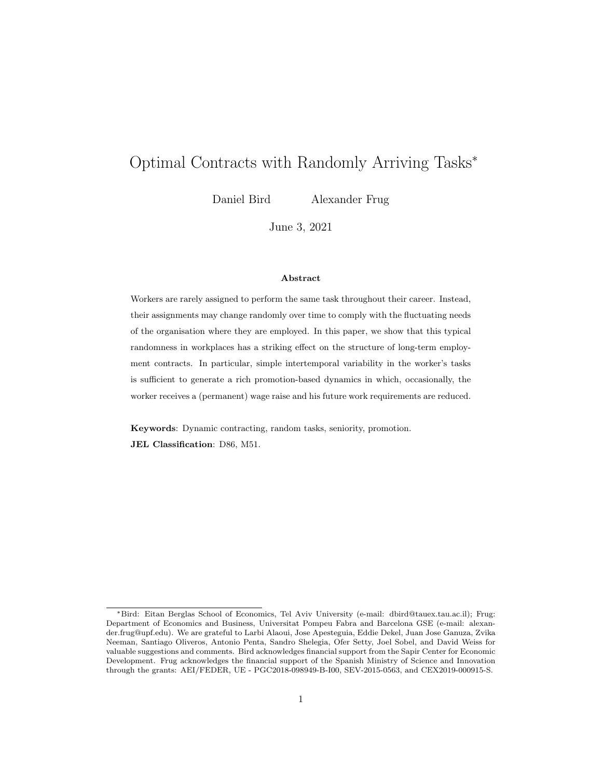# Optimal Contracts with Randomly Arriving Tasks<sup>∗</sup>

Daniel Bird Alexander Frug

June 3, 2021

#### Abstract

Workers are rarely assigned to perform the same task throughout their career. Instead, their assignments may change randomly over time to comply with the fluctuating needs of the organisation where they are employed. In this paper, we show that this typical randomness in workplaces has a striking effect on the structure of long-term employment contracts. In particular, simple intertemporal variability in the worker's tasks is sufficient to generate a rich promotion-based dynamics in which, occasionally, the worker receives a (permanent) wage raise and his future work requirements are reduced.

Keywords: Dynamic contracting, random tasks, seniority, promotion. JEL Classification: D86, M51.

<sup>∗</sup>Bird: Eitan Berglas School of Economics, Tel Aviv University (e-mail: dbird@tauex.tau.ac.il); Frug: Department of Economics and Business, Universitat Pompeu Fabra and Barcelona GSE (e-mail: alexander.frug@upf.edu). We are grateful to Larbi Alaoui, Jose Apesteguia, Eddie Dekel, Juan Jose Ganuza, Zvika Neeman, Santiago Oliveros, Antonio Penta, Sandro Shelegia, Ofer Setty, Joel Sobel, and David Weiss for valuable suggestions and comments. Bird acknowledges financial support from the Sapir Center for Economic Development. Frug acknowledges the financial support of the Spanish Ministry of Science and Innovation through the grants: AEI/FEDER, UE - PGC2018-098949-B-I00, SEV-2015-0563, and CEX2019-000915-S.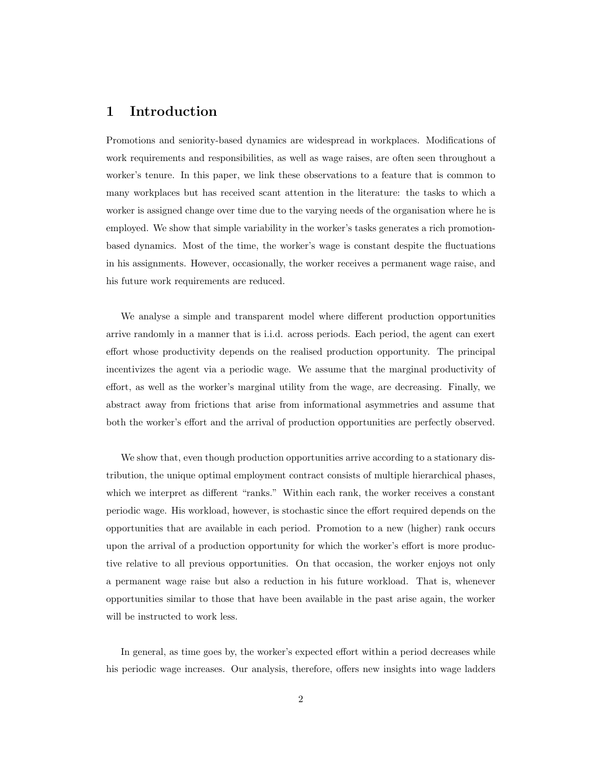## 1 Introduction

Promotions and seniority-based dynamics are widespread in workplaces. Modifications of work requirements and responsibilities, as well as wage raises, are often seen throughout a worker's tenure. In this paper, we link these observations to a feature that is common to many workplaces but has received scant attention in the literature: the tasks to which a worker is assigned change over time due to the varying needs of the organisation where he is employed. We show that simple variability in the worker's tasks generates a rich promotionbased dynamics. Most of the time, the worker's wage is constant despite the fluctuations in his assignments. However, occasionally, the worker receives a permanent wage raise, and his future work requirements are reduced.

We analyse a simple and transparent model where different production opportunities arrive randomly in a manner that is i.i.d. across periods. Each period, the agent can exert effort whose productivity depends on the realised production opportunity. The principal incentivizes the agent via a periodic wage. We assume that the marginal productivity of effort, as well as the worker's marginal utility from the wage, are decreasing. Finally, we abstract away from frictions that arise from informational asymmetries and assume that both the worker's effort and the arrival of production opportunities are perfectly observed.

We show that, even though production opportunities arrive according to a stationary distribution, the unique optimal employment contract consists of multiple hierarchical phases, which we interpret as different "ranks." Within each rank, the worker receives a constant periodic wage. His workload, however, is stochastic since the effort required depends on the opportunities that are available in each period. Promotion to a new (higher) rank occurs upon the arrival of a production opportunity for which the worker's effort is more productive relative to all previous opportunities. On that occasion, the worker enjoys not only a permanent wage raise but also a reduction in his future workload. That is, whenever opportunities similar to those that have been available in the past arise again, the worker will be instructed to work less.

In general, as time goes by, the worker's expected effort within a period decreases while his periodic wage increases. Our analysis, therefore, offers new insights into wage ladders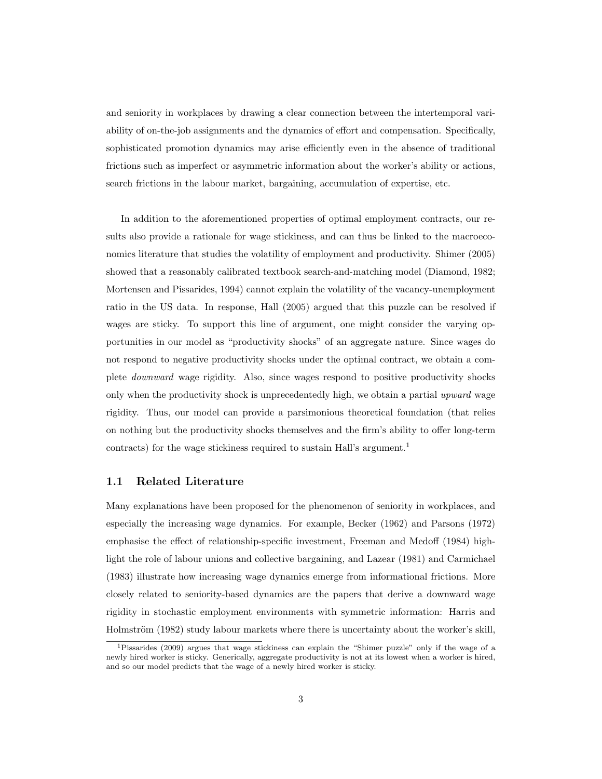and seniority in workplaces by drawing a clear connection between the intertemporal variability of on-the-job assignments and the dynamics of effort and compensation. Specifically, sophisticated promotion dynamics may arise efficiently even in the absence of traditional frictions such as imperfect or asymmetric information about the worker's ability or actions, search frictions in the labour market, bargaining, accumulation of expertise, etc.

In addition to the aforementioned properties of optimal employment contracts, our results also provide a rationale for wage stickiness, and can thus be linked to the macroeconomics literature that studies the volatility of employment and productivity. Shimer (2005) showed that a reasonably calibrated textbook search-and-matching model (Diamond, 1982; Mortensen and Pissarides, 1994) cannot explain the volatility of the vacancy-unemployment ratio in the US data. In response, Hall (2005) argued that this puzzle can be resolved if wages are sticky. To support this line of argument, one might consider the varying opportunities in our model as "productivity shocks" of an aggregate nature. Since wages do not respond to negative productivity shocks under the optimal contract, we obtain a complete downward wage rigidity. Also, since wages respond to positive productivity shocks only when the productivity shock is unprecedentedly high, we obtain a partial *upward* wage rigidity. Thus, our model can provide a parsimonious theoretical foundation (that relies on nothing but the productivity shocks themselves and the firm's ability to offer long-term contracts) for the wage stickiness required to sustain Hall's argument.<sup>1</sup>

#### 1.1 Related Literature

Many explanations have been proposed for the phenomenon of seniority in workplaces, and especially the increasing wage dynamics. For example, Becker (1962) and Parsons (1972) emphasise the effect of relationship-specific investment, Freeman and Medoff (1984) highlight the role of labour unions and collective bargaining, and Lazear (1981) and Carmichael (1983) illustrate how increasing wage dynamics emerge from informational frictions. More closely related to seniority-based dynamics are the papers that derive a downward wage rigidity in stochastic employment environments with symmetric information: Harris and Holmström (1982) study labour markets where there is uncertainty about the worker's skill,

<sup>1</sup>Pissarides (2009) argues that wage stickiness can explain the "Shimer puzzle" only if the wage of a newly hired worker is sticky. Generically, aggregate productivity is not at its lowest when a worker is hired, and so our model predicts that the wage of a newly hired worker is sticky.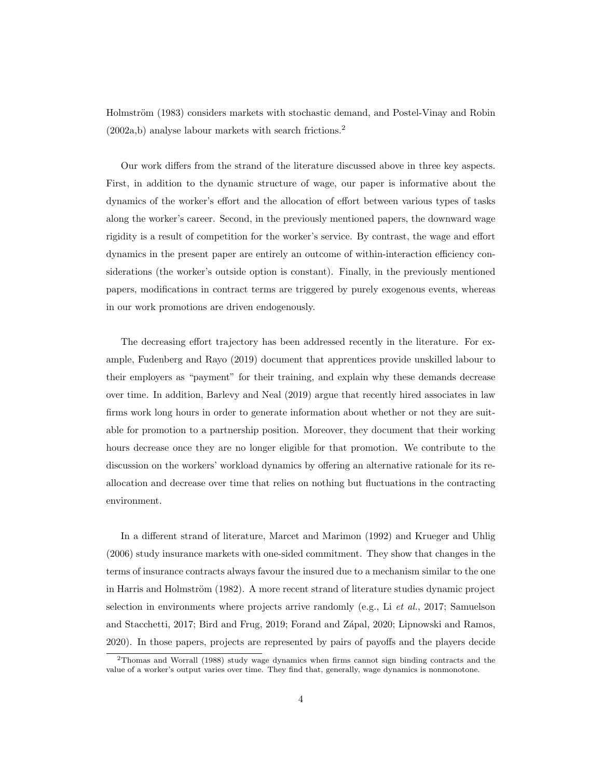Holmström (1983) considers markets with stochastic demand, and Postel-Vinay and Robin (2002a,b) analyse labour markets with search frictions.<sup>2</sup>

Our work differs from the strand of the literature discussed above in three key aspects. First, in addition to the dynamic structure of wage, our paper is informative about the dynamics of the worker's effort and the allocation of effort between various types of tasks along the worker's career. Second, in the previously mentioned papers, the downward wage rigidity is a result of competition for the worker's service. By contrast, the wage and effort dynamics in the present paper are entirely an outcome of within-interaction efficiency considerations (the worker's outside option is constant). Finally, in the previously mentioned papers, modifications in contract terms are triggered by purely exogenous events, whereas in our work promotions are driven endogenously.

The decreasing effort trajectory has been addressed recently in the literature. For example, Fudenberg and Rayo (2019) document that apprentices provide unskilled labour to their employers as "payment" for their training, and explain why these demands decrease over time. In addition, Barlevy and Neal (2019) argue that recently hired associates in law firms work long hours in order to generate information about whether or not they are suitable for promotion to a partnership position. Moreover, they document that their working hours decrease once they are no longer eligible for that promotion. We contribute to the discussion on the workers' workload dynamics by offering an alternative rationale for its reallocation and decrease over time that relies on nothing but fluctuations in the contracting environment.

In a different strand of literature, Marcet and Marimon (1992) and Krueger and Uhlig (2006) study insurance markets with one-sided commitment. They show that changes in the terms of insurance contracts always favour the insured due to a mechanism similar to the one in Harris and Holmström (1982). A more recent strand of literature studies dynamic project selection in environments where projects arrive randomly (e.g., Li et al., 2017; Samuelson and Stacchetti, 2017; Bird and Frug, 2019; Forand and Zápal, 2020; Lipnowski and Ramos, 2020). In those papers, projects are represented by pairs of payoffs and the players decide

<sup>2</sup>Thomas and Worrall (1988) study wage dynamics when firms cannot sign binding contracts and the value of a worker's output varies over time. They find that, generally, wage dynamics is nonmonotone.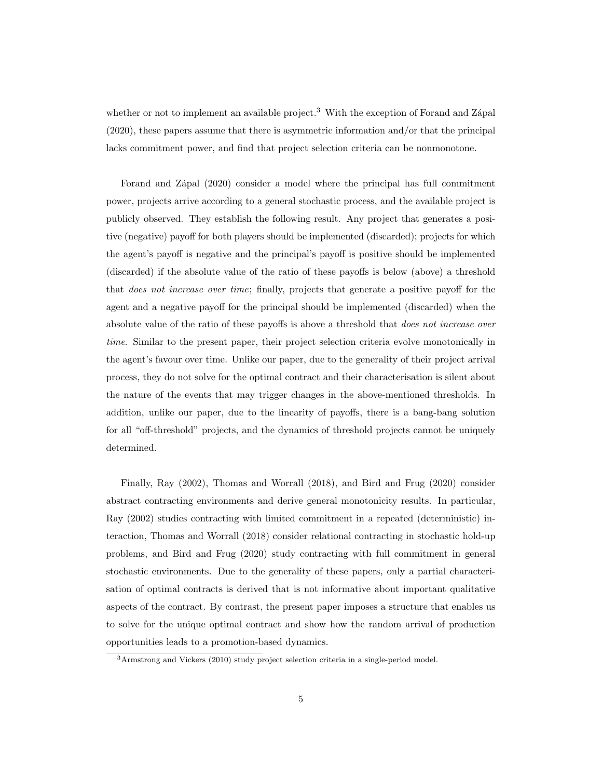whether or not to implement an available project.<sup>3</sup> With the exception of Forand and Zápal (2020), these papers assume that there is asymmetric information and/or that the principal lacks commitment power, and find that project selection criteria can be nonmonotone.

Forand and Zápal (2020) consider a model where the principal has full commitment power, projects arrive according to a general stochastic process, and the available project is publicly observed. They establish the following result. Any project that generates a positive (negative) payoff for both players should be implemented (discarded); projects for which the agent's payoff is negative and the principal's payoff is positive should be implemented (discarded) if the absolute value of the ratio of these payoffs is below (above) a threshold that does not increase over time; finally, projects that generate a positive payoff for the agent and a negative payoff for the principal should be implemented (discarded) when the absolute value of the ratio of these payoffs is above a threshold that *does not increase over* time. Similar to the present paper, their project selection criteria evolve monotonically in the agent's favour over time. Unlike our paper, due to the generality of their project arrival process, they do not solve for the optimal contract and their characterisation is silent about the nature of the events that may trigger changes in the above-mentioned thresholds. In addition, unlike our paper, due to the linearity of payoffs, there is a bang-bang solution for all "off-threshold" projects, and the dynamics of threshold projects cannot be uniquely determined.

Finally, Ray (2002), Thomas and Worrall (2018), and Bird and Frug (2020) consider abstract contracting environments and derive general monotonicity results. In particular, Ray (2002) studies contracting with limited commitment in a repeated (deterministic) interaction, Thomas and Worrall (2018) consider relational contracting in stochastic hold-up problems, and Bird and Frug (2020) study contracting with full commitment in general stochastic environments. Due to the generality of these papers, only a partial characterisation of optimal contracts is derived that is not informative about important qualitative aspects of the contract. By contrast, the present paper imposes a structure that enables us to solve for the unique optimal contract and show how the random arrival of production opportunities leads to a promotion-based dynamics.

<sup>3</sup>Armstrong and Vickers (2010) study project selection criteria in a single-period model.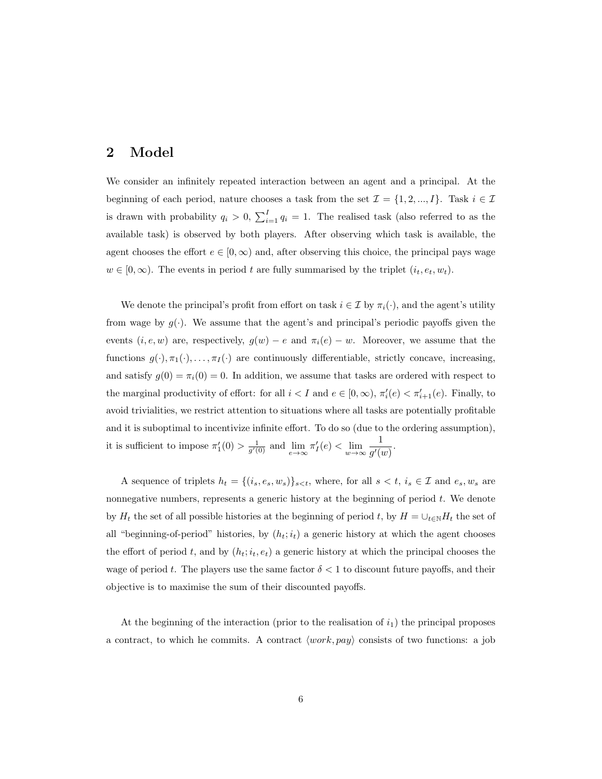## 2 Model

We consider an infinitely repeated interaction between an agent and a principal. At the beginning of each period, nature chooses a task from the set  $\mathcal{I} = \{1, 2, ..., I\}$ . Task  $i \in \mathcal{I}$ is drawn with probability  $q_i > 0$ ,  $\sum_{i=1}^{I} q_i = 1$ . The realised task (also referred to as the available task) is observed by both players. After observing which task is available, the agent chooses the effort  $e \in [0,\infty)$  and, after observing this choice, the principal pays wage  $w \in [0, \infty)$ . The events in period t are fully summarised by the triplet  $(i_t, e_t, w_t)$ .

We denote the principal's profit from effort on task  $i \in \mathcal{I}$  by  $\pi_i(\cdot)$ , and the agent's utility from wage by  $g(\cdot)$ . We assume that the agent's and principal's periodic payoffs given the events  $(i, e, w)$  are, respectively,  $g(w) - e$  and  $\pi_i(e) - w$ . Moreover, we assume that the functions  $g(\cdot), \pi_1(\cdot), \ldots, \pi_l(\cdot)$  are continuously differentiable, strictly concave, increasing, and satisfy  $g(0) = \pi_i(0) = 0$ . In addition, we assume that tasks are ordered with respect to the marginal productivity of effort: for all  $i < I$  and  $e \in [0, \infty)$ ,  $\pi'_i(e) < \pi'_{i+1}(e)$ . Finally, to avoid trivialities, we restrict attention to situations where all tasks are potentially profitable and it is suboptimal to incentivize infinite effort. To do so (due to the ordering assumption), it is sufficient to impose  $\pi_1'(0) > \frac{1}{g'(0)}$  and  $\lim_{e \to \infty} \pi_I'(e) < \lim_{w \to \infty} \frac{1}{g'(e)}$  $\frac{1}{g'(w)}$ .

A sequence of triplets  $h_t = \{(i_s, e_s, w_s)\}_{s \leq t}$ , where, for all  $s \leq t$ ,  $i_s \in \mathcal{I}$  and  $e_s, w_s$  are nonnegative numbers, represents a generic history at the beginning of period  $t$ . We denote by  $H_t$  the set of all possible histories at the beginning of period t, by  $H = \cup_{t \in \mathbb{N}} H_t$  the set of all "beginning-of-period" histories, by  $(h_t; i_t)$  a generic history at which the agent chooses the effort of period t, and by  $(h_t; i_t, e_t)$  a generic history at which the principal chooses the wage of period t. The players use the same factor  $\delta < 1$  to discount future payoffs, and their objective is to maximise the sum of their discounted payoffs.

At the beginning of the interaction (prior to the realisation of  $i_1$ ) the principal proposes a contract, to which he commits. A contract  $\langle work, pay \rangle$  consists of two functions: a job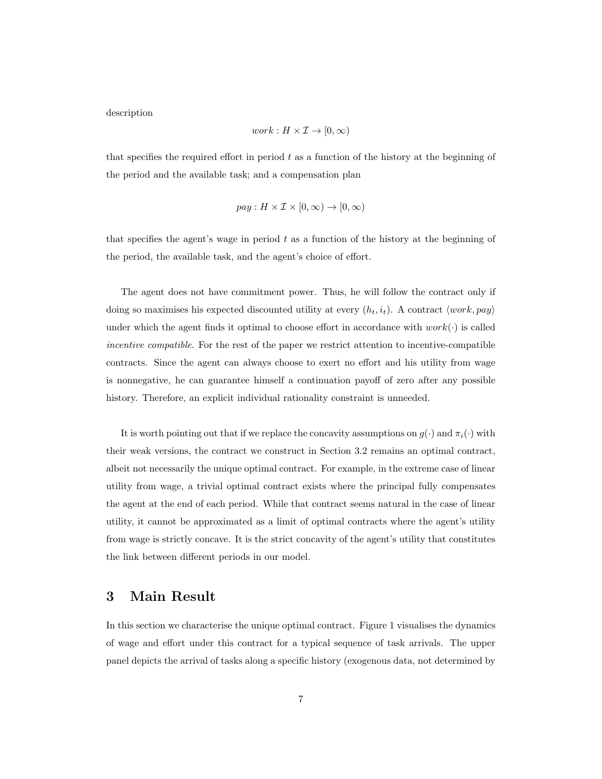description

$$
work: H \times \mathcal{I} \to [0, \infty)
$$

that specifies the required effort in period  $t$  as a function of the history at the beginning of the period and the available task; and a compensation plan

$$
pay: H \times \mathcal{I} \times [0, \infty) \to [0, \infty)
$$

that specifies the agent's wage in period  $t$  as a function of the history at the beginning of the period, the available task, and the agent's choice of effort.

The agent does not have commitment power. Thus, he will follow the contract only if doing so maximises his expected discounted utility at every  $(h_t, i_t)$ . A contract  $\langle work, pay \rangle$ under which the agent finds it optimal to choose effort in accordance with  $work(\cdot)$  is called incentive compatible. For the rest of the paper we restrict attention to incentive-compatible contracts. Since the agent can always choose to exert no effort and his utility from wage is nonnegative, he can guarantee himself a continuation payoff of zero after any possible history. Therefore, an explicit individual rationality constraint is unneeded.

It is worth pointing out that if we replace the concavity assumptions on  $g(\cdot)$  and  $\pi_i(\cdot)$  with their weak versions, the contract we construct in Section 3.2 remains an optimal contract, albeit not necessarily the unique optimal contract. For example, in the extreme case of linear utility from wage, a trivial optimal contract exists where the principal fully compensates the agent at the end of each period. While that contract seems natural in the case of linear utility, it cannot be approximated as a limit of optimal contracts where the agent's utility from wage is strictly concave. It is the strict concavity of the agent's utility that constitutes the link between different periods in our model.

### 3 Main Result

In this section we characterise the unique optimal contract. Figure 1 visualises the dynamics of wage and effort under this contract for a typical sequence of task arrivals. The upper panel depicts the arrival of tasks along a specific history (exogenous data, not determined by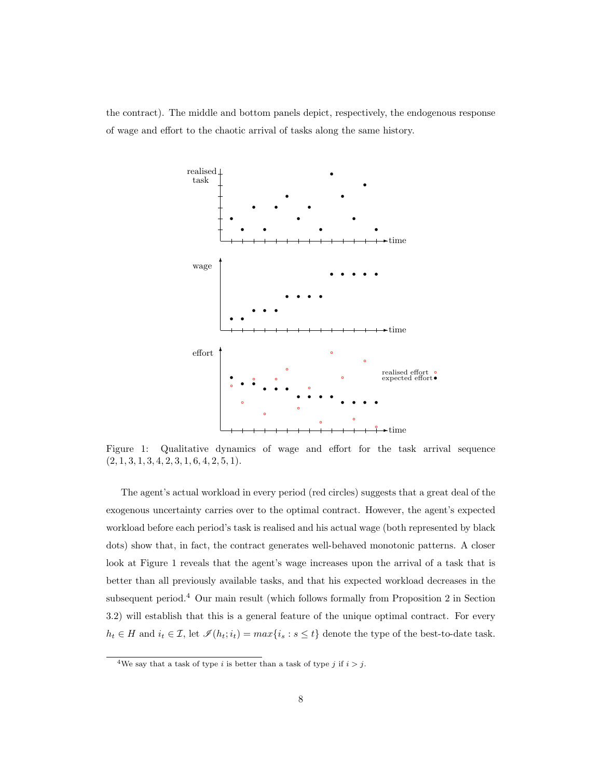the contract). The middle and bottom panels depict, respectively, the endogenous response of wage and effort to the chaotic arrival of tasks along the same history.



Figure 1: Qualitative dynamics of wage and effort for the task arrival sequence  $(2, 1, 3, 1, 3, 4, 2, 3, 1, 6, 4, 2, 5, 1).$ 

The agent's actual workload in every period (red circles) suggests that a great deal of the exogenous uncertainty carries over to the optimal contract. However, the agent's expected workload before each period's task is realised and his actual wage (both represented by black dots) show that, in fact, the contract generates well-behaved monotonic patterns. A closer look at Figure 1 reveals that the agent's wage increases upon the arrival of a task that is better than all previously available tasks, and that his expected workload decreases in the subsequent period.<sup>4</sup> Our main result (which follows formally from Proposition 2 in Section 3.2) will establish that this is a general feature of the unique optimal contract. For every  $h_t \in H$  and  $i_t \in \mathcal{I}$ , let  $\mathscr{I}(h_t; i_t) = max\{i_s : s \leq t\}$  denote the type of the best-to-date task.

<sup>&</sup>lt;sup>4</sup>We say that a task of type *i* is better than a task of type *j* if  $i > j$ .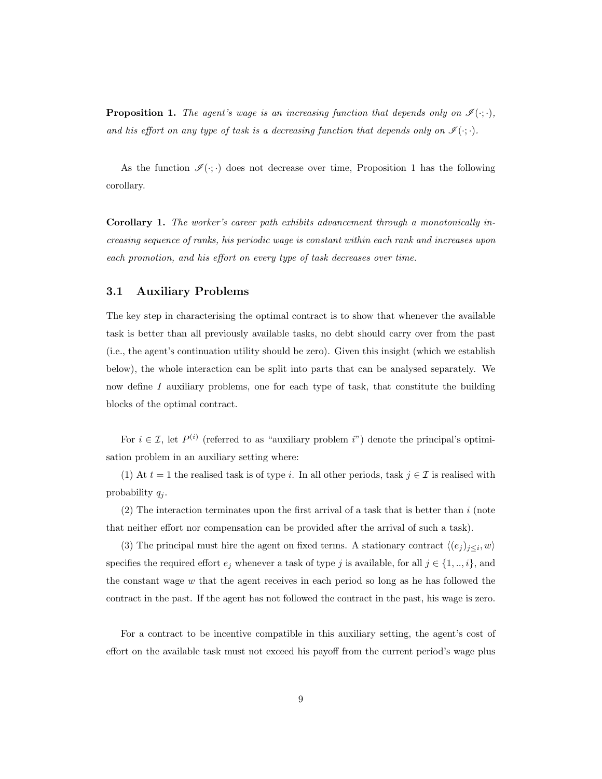**Proposition 1.** The agent's wage is an increasing function that depends only on  $\mathcal{I}(\cdot; \cdot)$ , and his effort on any type of task is a decreasing function that depends only on  $\mathscr{I}(\cdot;\cdot)$ .

As the function  $\mathcal{I}(\cdot;\cdot)$  does not decrease over time, Proposition 1 has the following corollary.

Corollary 1. The worker's career path exhibits advancement through a monotonically increasing sequence of ranks, his periodic wage is constant within each rank and increases upon each promotion, and his effort on every type of task decreases over time.

### 3.1 Auxiliary Problems

The key step in characterising the optimal contract is to show that whenever the available task is better than all previously available tasks, no debt should carry over from the past (i.e., the agent's continuation utility should be zero). Given this insight (which we establish below), the whole interaction can be split into parts that can be analysed separately. We now define I auxiliary problems, one for each type of task, that constitute the building blocks of the optimal contract.

For  $i \in \mathcal{I}$ , let  $P^{(i)}$  (referred to as "auxiliary problem i") denote the principal's optimisation problem in an auxiliary setting where:

(1) At  $t = 1$  the realised task is of type i. In all other periods, task  $j \in \mathcal{I}$  is realised with probability  $q_i$ .

 $(2)$  The interaction terminates upon the first arrival of a task that is better than i (note that neither effort nor compensation can be provided after the arrival of such a task).

(3) The principal must hire the agent on fixed terms. A stationary contract  $\langle (e_j)_{j\leq i}, w \rangle$ specifies the required effort  $e_j$  whenever a task of type j is available, for all  $j \in \{1, ..., i\}$ , and the constant wage  $w$  that the agent receives in each period so long as he has followed the contract in the past. If the agent has not followed the contract in the past, his wage is zero.

For a contract to be incentive compatible in this auxiliary setting, the agent's cost of effort on the available task must not exceed his payoff from the current period's wage plus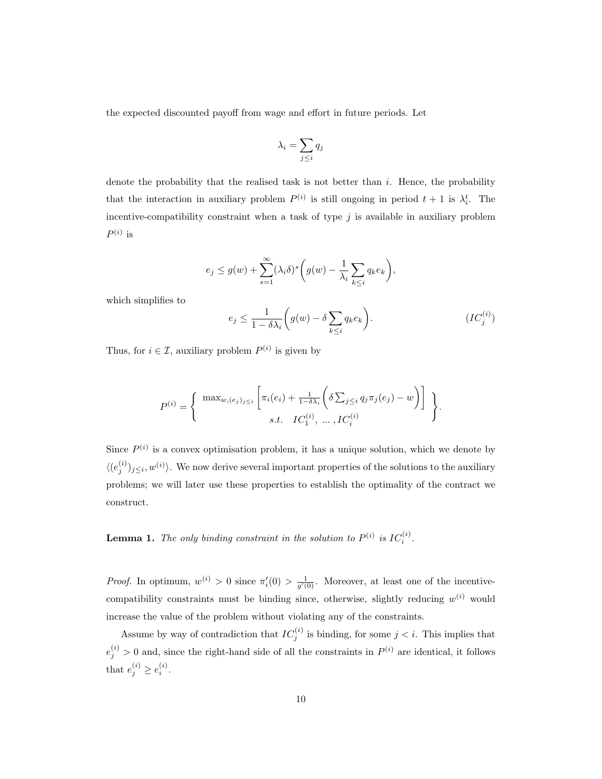the expected discounted payoff from wage and effort in future periods. Let

$$
\lambda_i = \sum_{j \leq i} q_j
$$

denote the probability that the realised task is not better than  $i$ . Hence, the probability that the interaction in auxiliary problem  $P^{(i)}$  is still ongoing in period  $t + 1$  is  $\lambda_i^t$ . The incentive-compatibility constraint when a task of type  $j$  is available in auxiliary problem  $P^{(i)}$  is

$$
e_j \le g(w) + \sum_{s=1}^{\infty} (\lambda_i \delta)^s \bigg( g(w) - \frac{1}{\lambda_i} \sum_{k \le i} q_k e_k \bigg),
$$

which simplifies to

$$
e_j \leq \frac{1}{1-\delta \lambda_i} \bigg( g(w) - \delta \sum_{k \leq i} q_k e_k \bigg). \tag{$IC_j^{(i)}$}
$$

Thus, for  $i \in \mathcal{I}$ , auxiliary problem  $P^{(i)}$  is given by

$$
P^{(i)} = \begin{cases} \max_{w,(e_j)_{j\leq i}} \left[ \pi_i(e_i) + \frac{1}{1-\delta\lambda_i} \left( \delta \sum_{j\leq i} q_j \pi_j(e_j) - w \right) \right] \\ s.t. & IC_1^{(i)}, \dots, IC_i^{(i)} \end{cases}.
$$

Since  $P^{(i)}$  is a convex optimisation problem, it has a unique solution, which we denote by  $\langle (e_j^{(i)})_{j\leq i}, w^{(i)}\rangle$ . We now derive several important properties of the solutions to the auxiliary problems; we will later use these properties to establish the optimality of the contract we construct.

**Lemma 1.** The only binding constraint in the solution to  $P^{(i)}$  is  $IC_i^{(i)}$ .

*Proof.* In optimum,  $w^{(i)} > 0$  since  $\pi'_i(0) > \frac{1}{g'(0)}$ . Moreover, at least one of the incentivecompatibility constraints must be binding since, otherwise, slightly reducing  $w^{(i)}$  would increase the value of the problem without violating any of the constraints.

Assume by way of contradiction that  $IC_j^{(i)}$  is binding, for some  $j < i$ . This implies that  $e_j^{(i)} > 0$  and, since the right-hand side of all the constraints in  $P^{(i)}$  are identical, it follows that  $e_j^{(i)} \geq e_i^{(i)}$ .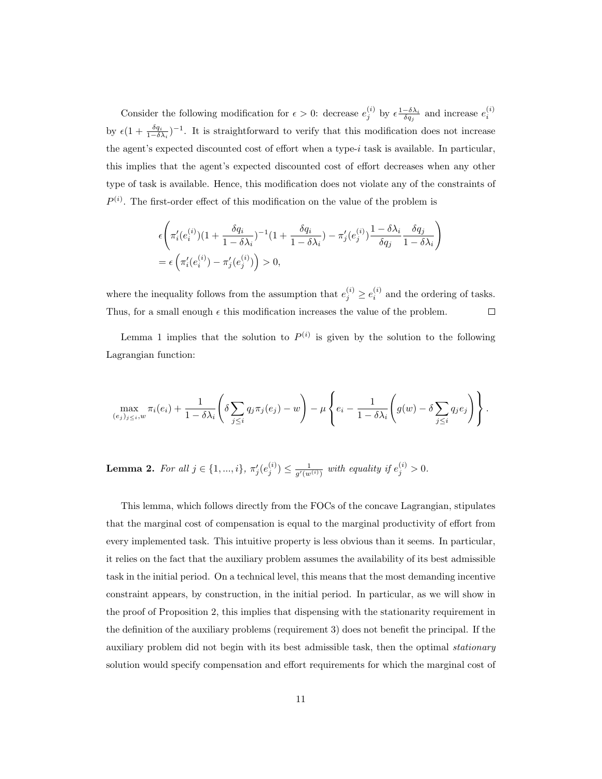Consider the following modification for  $\epsilon > 0$ : decrease  $e_j^{(i)}$  by  $\epsilon \frac{1-\delta\lambda_i}{\delta q_j}$  and increase  $e_i^{(i)}$ by  $\epsilon (1 + \frac{\delta q_i}{1-\delta\lambda_i})^{-1}$ . It is straightforward to verify that this modification does not increase the agent's expected discounted cost of effort when a type- $i$  task is available. In particular, this implies that the agent's expected discounted cost of effort decreases when any other type of task is available. Hence, this modification does not violate any of the constraints of  $P^{(i)}$ . The first-order effect of this modification on the value of the problem is

$$
\epsilon \left( \pi'_i(e_i^{(i)}) (1 + \frac{\delta q_i}{1 - \delta \lambda_i})^{-1} (1 + \frac{\delta q_i}{1 - \delta \lambda_i}) - \pi'_j(e_j^{(i)}) \frac{1 - \delta \lambda_i}{\delta q_j} \frac{\delta q_j}{1 - \delta \lambda_i} \right)
$$
  
=  $\epsilon \left( \pi'_i(e_i^{(i)}) - \pi'_j(e_j^{(i)}) \right) > 0,$ 

where the inequality follows from the assumption that  $e_j^{(i)} \geq e_i^{(i)}$  and the ordering of tasks. Thus, for a small enough  $\epsilon$  this modification increases the value of the problem.  $\Box$ 

Lemma 1 implies that the solution to  $P^{(i)}$  is given by the solution to the following Lagrangian function:

$$
\max_{(e_j)_{j\leq i},w}\pi_i(e_i)+\frac{1}{1-\delta\lambda_i}\left(\delta\sum_{j\leq i}q_j\pi_j(e_j)-w\right)-\mu\left\{e_i-\frac{1}{1-\delta\lambda_i}\left(g(w)-\delta\sum_{j\leq i}q_je_j\right)\right\}.
$$

**Lemma 2.** For all  $j \in \{1, ..., i\}$ ,  $\pi'_j(e_j^{(i)}) \leq \frac{1}{g'(w^{(i)})}$  with equality if  $e_j^{(i)} > 0$ .

This lemma, which follows directly from the FOCs of the concave Lagrangian, stipulates that the marginal cost of compensation is equal to the marginal productivity of effort from every implemented task. This intuitive property is less obvious than it seems. In particular, it relies on the fact that the auxiliary problem assumes the availability of its best admissible task in the initial period. On a technical level, this means that the most demanding incentive constraint appears, by construction, in the initial period. In particular, as we will show in the proof of Proposition 2, this implies that dispensing with the stationarity requirement in the definition of the auxiliary problems (requirement 3) does not benefit the principal. If the auxiliary problem did not begin with its best admissible task, then the optimal stationary solution would specify compensation and effort requirements for which the marginal cost of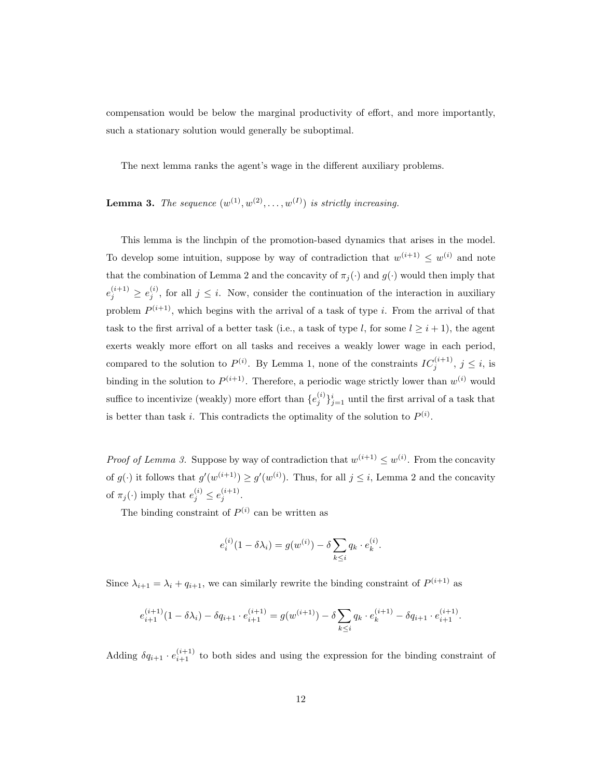compensation would be below the marginal productivity of effort, and more importantly, such a stationary solution would generally be suboptimal.

The next lemma ranks the agent's wage in the different auxiliary problems.

**Lemma 3.** The sequence  $(w^{(1)}, w^{(2)}, \ldots, w^{(I)})$  is strictly increasing.

This lemma is the linchpin of the promotion-based dynamics that arises in the model. To develop some intuition, suppose by way of contradiction that  $w^{(i+1)} \n\t\leq w^{(i)}$  and note that the combination of Lemma 2 and the concavity of  $\pi_j(\cdot)$  and  $g(\cdot)$  would then imply that  $e_j^{(i+1)} \geq e_j^{(i)}$ , for all  $j \leq i$ . Now, consider the continuation of the interaction in auxiliary problem  $P^{(i+1)}$ , which begins with the arrival of a task of type i. From the arrival of that task to the first arrival of a better task (i.e., a task of type l, for some  $l \geq i + 1$ ), the agent exerts weakly more effort on all tasks and receives a weakly lower wage in each period, compared to the solution to  $P^{(i)}$ . By Lemma 1, none of the constraints  $IC_j^{(i+1)}$ ,  $j \leq i$ , is binding in the solution to  $P^{(i+1)}$ . Therefore, a periodic wage strictly lower than  $w^{(i)}$  would suffice to incentivize (weakly) more effort than  $\{e_j^{(i)}\}_{j=1}^i$  until the first arrival of a task that is better than task *i*. This contradicts the optimality of the solution to  $P^{(i)}$ .

*Proof of Lemma 3.* Suppose by way of contradiction that  $w^{(i+1)} \n\t\leq w^{(i)}$ . From the concavity of  $g(\cdot)$  it follows that  $g'(w^{(i+1)}) \geq g'(w^{(i)})$ . Thus, for all  $j \leq i$ , Lemma 2 and the concavity of  $\pi_j(\cdot)$  imply that  $e_j^{(i)} \leq e_j^{(i+1)}$ .

The binding constraint of  $P^{(i)}$  can be written as

$$
e_i^{(i)}(1 - \delta \lambda_i) = g(w^{(i)}) - \delta \sum_{k \leq i} q_k \cdot e_k^{(i)}
$$
.

Since  $\lambda_{i+1} = \lambda_i + q_{i+1}$ , we can similarly rewrite the binding constraint of  $P^{(i+1)}$  as

$$
e_{i+1}^{(i+1)}(1 - \delta \lambda_i) - \delta q_{i+1} \cdot e_{i+1}^{(i+1)} = g(w^{(i+1)}) - \delta \sum_{k \le i} q_k \cdot e_k^{(i+1)} - \delta q_{i+1} \cdot e_{i+1}^{(i+1)}.
$$

Adding  $\delta q_{i+1} \cdot e_{i+1}^{(i+1)}$  to both sides and using the expression for the binding constraint of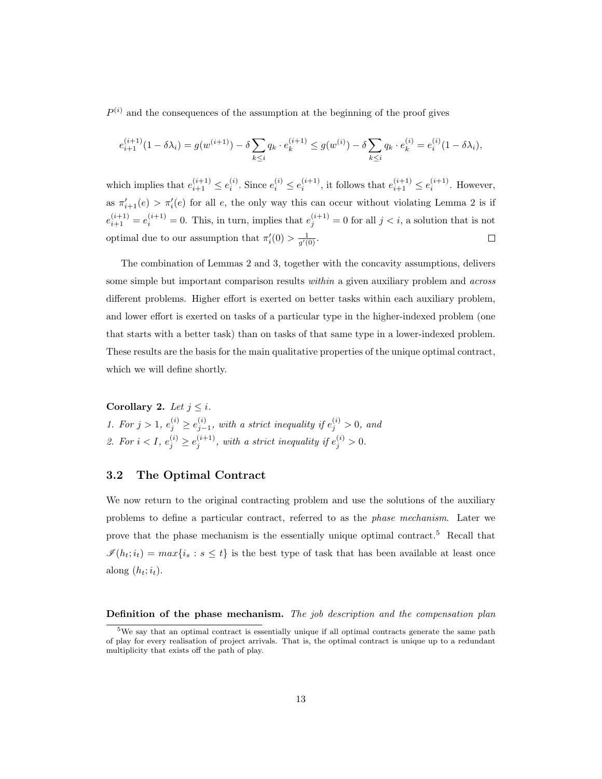$P^{(i)}$  and the consequences of the assumption at the beginning of the proof gives

$$
e_{i+1}^{(i+1)}(1 - \delta \lambda_i) = g(w^{(i+1)}) - \delta \sum_{k \leq i} q_k \cdot e_k^{(i+1)} \leq g(w^{(i)}) - \delta \sum_{k \leq i} q_k \cdot e_k^{(i)} = e_i^{(i)}(1 - \delta \lambda_i),
$$

which implies that  $e_{i+1}^{(i+1)} \leq e_i^{(i)}$ . Since  $e_i^{(i)} \leq e_i^{(i+1)}$ , it follows that  $e_{i+1}^{(i+1)} \leq e_i^{(i+1)}$ . However, as  $\pi'_{i+1}(e) > \pi'_{i}(e)$  for all e, the only way this can occur without violating Lemma 2 is if  $e^{(i+1)}_{i+1} = e^{(i+1)}_i = 0$ . This, in turn, implies that  $e^{(i+1)}_j = 0$  for all  $j < i$ , a solution that is not optimal due to our assumption that  $\pi_i'(0) > \frac{1}{g'(0)}$ .  $\Box$ 

The combination of Lemmas 2 and 3, together with the concavity assumptions, delivers some simple but important comparison results within a given auxiliary problem and *across* different problems. Higher effort is exerted on better tasks within each auxiliary problem, and lower effort is exerted on tasks of a particular type in the higher-indexed problem (one that starts with a better task) than on tasks of that same type in a lower-indexed problem. These results are the basis for the main qualitative properties of the unique optimal contract, which we will define shortly.

Corollary 2. Let  $j \leq i$ . 1. For  $j > 1$ ,  $e_j^{(i)} \ge e_{j-1}^{(i)}$ , with a strict inequality if  $e_j^{(i)} > 0$ , and 2. For  $i < I$ ,  $e_j^{(i)} \ge e_j^{(i+1)}$ , with a strict inequality if  $e_j^{(i)} > 0$ .

#### 3.2 The Optimal Contract

We now return to the original contracting problem and use the solutions of the auxiliary problems to define a particular contract, referred to as the phase mechanism. Later we prove that the phase mechanism is the essentially unique optimal contract.<sup>5</sup> Recall that  $\mathscr{I}(h_t; i_t) = max\{i_s : s \leq t\}$  is the best type of task that has been available at least once along  $(h_t; i_t)$ .

Definition of the phase mechanism. The job description and the compensation plan

<sup>&</sup>lt;sup>5</sup>We say that an optimal contract is essentially unique if all optimal contracts generate the same path of play for every realisation of project arrivals. That is, the optimal contract is unique up to a redundant multiplicity that exists off the path of play.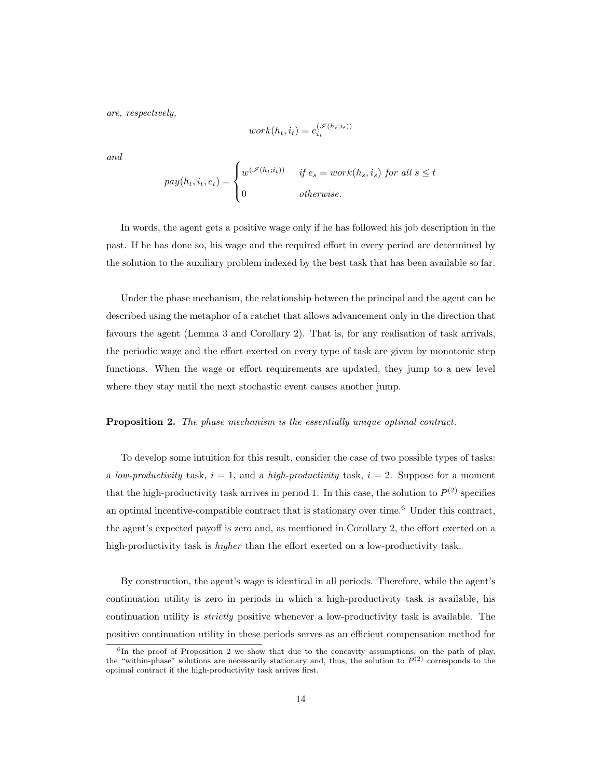are, respectively,

$$
work(h_t, i_t) = e_{i_t}^{(\mathcal{I}(h_t; i_t))}
$$

and

$$
pay(h_t, i_t, e_t) = \begin{cases} w^{(\mathcal{I}(h_t, i_t))} & \text{if } e_s = work(h_s, i_s) \text{ for all } s \le t \\ 0 & \text{otherwise.} \end{cases}
$$

In words, the agent gets a positive wage only if he has followed his job description in the past. If he has done so, his wage and the required effort in every period are determined by the solution to the auxiliary problem indexed by the best task that has been available so far.

Under the phase mechanism, the relationship between the principal and the agent can be described using the metaphor of a ratchet that allows advancement only in the direction that favours the agent (Lemma 3 and Corollary 2). That is, for any realisation of task arrivals, the periodic wage and the effort exerted on every type of task are given by monotonic step functions. When the wage or effort requirements are updated, they jump to a new level where they stay until the next stochastic event causes another jump.

#### Proposition 2. The phase mechanism is the essentially unique optimal contract.

To develop some intuition for this result, consider the case of two possible types of tasks: a low-productivity task,  $i = 1$ , and a high-productivity task,  $i = 2$ . Suppose for a moment that the high-productivity task arrives in period 1. In this case, the solution to  $P^{(2)}$  specifies an optimal incentive-compatible contract that is stationary over time.<sup>6</sup> Under this contract, the agent's expected payoff is zero and, as mentioned in Corollary 2, the effort exerted on a high-productivity task is *higher* than the effort exerted on a low-productivity task.

By construction, the agent's wage is identical in all periods. Therefore, while the agent's continuation utility is zero in periods in which a high-productivity task is available, his continuation utility is strictly positive whenever a low-productivity task is available. The positive continuation utility in these periods serves as an efficient compensation method for

<sup>&</sup>lt;sup>6</sup>In the proof of Proposition 2 we show that due to the concavity assumptions, on the path of play, the "within-phase" solutions are necessarily stationary and, thus, the solution to  $P^{(2)}$  corresponds to the optimal contract if the high-productivity task arrives first.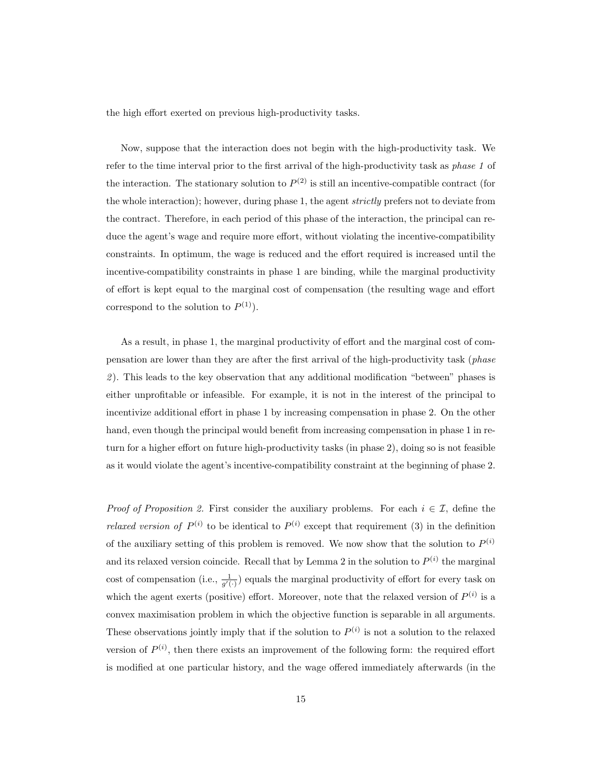the high effort exerted on previous high-productivity tasks.

Now, suppose that the interaction does not begin with the high-productivity task. We refer to the time interval prior to the first arrival of the high-productivity task as phase 1 of the interaction. The stationary solution to  $P^{(2)}$  is still an incentive-compatible contract (for the whole interaction); however, during phase 1, the agent *strictly* prefers not to deviate from the contract. Therefore, in each period of this phase of the interaction, the principal can reduce the agent's wage and require more effort, without violating the incentive-compatibility constraints. In optimum, the wage is reduced and the effort required is increased until the incentive-compatibility constraints in phase 1 are binding, while the marginal productivity of effort is kept equal to the marginal cost of compensation (the resulting wage and effort correspond to the solution to  $P^{(1)}$ ).

As a result, in phase 1, the marginal productivity of effort and the marginal cost of compensation are lower than they are after the first arrival of the high-productivity task (phase 2 ). This leads to the key observation that any additional modification "between" phases is either unprofitable or infeasible. For example, it is not in the interest of the principal to incentivize additional effort in phase 1 by increasing compensation in phase 2. On the other hand, even though the principal would benefit from increasing compensation in phase 1 in return for a higher effort on future high-productivity tasks (in phase 2), doing so is not feasible as it would violate the agent's incentive-compatibility constraint at the beginning of phase 2.

*Proof of Proposition 2.* First consider the auxiliary problems. For each  $i \in \mathcal{I}$ , define the *relaxed version of*  $P^{(i)}$  to be identical to  $P^{(i)}$  except that requirement (3) in the definition of the auxiliary setting of this problem is removed. We now show that the solution to  $P^{(i)}$ and its relaxed version coincide. Recall that by Lemma 2 in the solution to  $P^{(i)}$  the marginal cost of compensation (i.e.,  $\frac{1}{g'(\cdot)}$ ) equals the marginal productivity of effort for every task on which the agent exerts (positive) effort. Moreover, note that the relaxed version of  $P^{(i)}$  is a convex maximisation problem in which the objective function is separable in all arguments. These observations jointly imply that if the solution to  $P^{(i)}$  is not a solution to the relaxed version of  $P^{(i)}$ , then there exists an improvement of the following form: the required effort is modified at one particular history, and the wage offered immediately afterwards (in the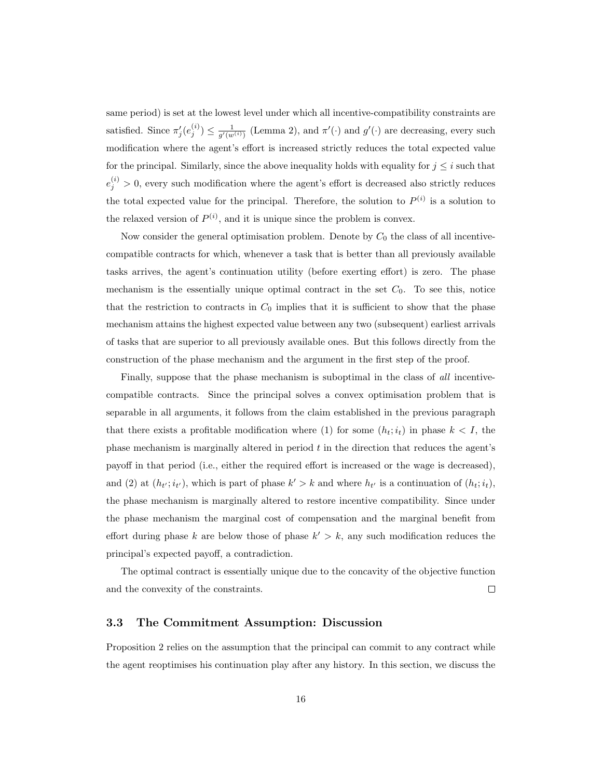same period) is set at the lowest level under which all incentive-compatibility constraints are satisfied. Since  $\pi'_j(e_j^{(i)}) \leq \frac{1}{g'(w^{(i)})}$  (Lemma 2), and  $\pi'(\cdot)$  and  $g'(\cdot)$  are decreasing, every such modification where the agent's effort is increased strictly reduces the total expected value for the principal. Similarly, since the above inequality holds with equality for  $j \leq i$  such that  $e_j^{(i)} > 0$ , every such modification where the agent's effort is decreased also strictly reduces the total expected value for the principal. Therefore, the solution to  $P^{(i)}$  is a solution to the relaxed version of  $P^{(i)}$ , and it is unique since the problem is convex.

Now consider the general optimisation problem. Denote by  $C_0$  the class of all incentivecompatible contracts for which, whenever a task that is better than all previously available tasks arrives, the agent's continuation utility (before exerting effort) is zero. The phase mechanism is the essentially unique optimal contract in the set  $C_0$ . To see this, notice that the restriction to contracts in  $C_0$  implies that it is sufficient to show that the phase mechanism attains the highest expected value between any two (subsequent) earliest arrivals of tasks that are superior to all previously available ones. But this follows directly from the construction of the phase mechanism and the argument in the first step of the proof.

Finally, suppose that the phase mechanism is suboptimal in the class of all incentivecompatible contracts. Since the principal solves a convex optimisation problem that is separable in all arguments, it follows from the claim established in the previous paragraph that there exists a profitable modification where (1) for some  $(h_t; i_t)$  in phase  $k < I$ , the phase mechanism is marginally altered in period  $t$  in the direction that reduces the agent's payoff in that period (i.e., either the required effort is increased or the wage is decreased), and (2) at  $(h_{t'}; i_{t'})$ , which is part of phase  $k' > k$  and where  $h_{t'}$  is a continuation of  $(h_t; i_t)$ , the phase mechanism is marginally altered to restore incentive compatibility. Since under the phase mechanism the marginal cost of compensation and the marginal benefit from effort during phase k are below those of phase  $k' > k$ , any such modification reduces the principal's expected payoff, a contradiction.

The optimal contract is essentially unique due to the concavity of the objective function and the convexity of the constraints.  $\Box$ 

#### 3.3 The Commitment Assumption: Discussion

Proposition 2 relies on the assumption that the principal can commit to any contract while the agent reoptimises his continuation play after any history. In this section, we discuss the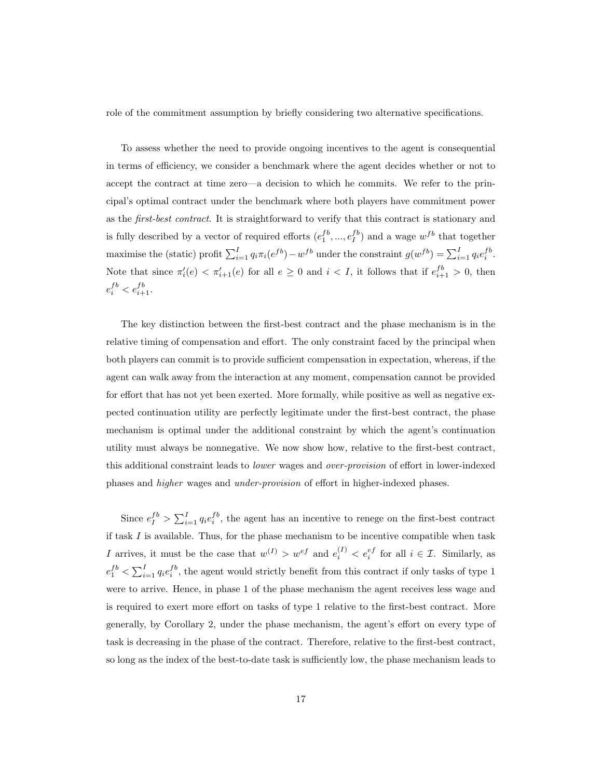role of the commitment assumption by briefly considering two alternative specifications.

To assess whether the need to provide ongoing incentives to the agent is consequential in terms of efficiency, we consider a benchmark where the agent decides whether or not to accept the contract at time zero—a decision to which he commits. We refer to the principal's optimal contract under the benchmark where both players have commitment power as the *first-best contract*. It is straightforward to verify that this contract is stationary and is fully described by a vector of required efforts  $(e_1^{fb},...,e_l^{fb})$  and a wage  $w^{fb}$  that together maximise the (static) profit  $\sum_{i=1}^{I} q_i \pi_i(e^{fb}) - w^{fb}$  under the constraint  $g(w^{fb}) = \sum_{i=1}^{I} q_i e_i^{fb}$ . Note that since  $\pi'_i(e) < \pi'_{i+1}(e)$  for all  $e \geq 0$  and  $i < I$ , it follows that if  $e^{fb}_{i+1} > 0$ , then  $e_i^{fb} < e_{i+1}^{fb}$ .

The key distinction between the first-best contract and the phase mechanism is in the relative timing of compensation and effort. The only constraint faced by the principal when both players can commit is to provide sufficient compensation in expectation, whereas, if the agent can walk away from the interaction at any moment, compensation cannot be provided for effort that has not yet been exerted. More formally, while positive as well as negative expected continuation utility are perfectly legitimate under the first-best contract, the phase mechanism is optimal under the additional constraint by which the agent's continuation utility must always be nonnegative. We now show how, relative to the first-best contract, this additional constraint leads to lower wages and over-provision of effort in lower-indexed phases and higher wages and under-provision of effort in higher-indexed phases.

Since  $e_I^{fb} > \sum_{i=1}^I q_i e_i^{fb}$ , the agent has an incentive to renege on the first-best contract if task  $I$  is available. Thus, for the phase mechanism to be incentive compatible when task I arrives, it must be the case that  $w^{(I)} > w^{ef}$  and  $e_i^{(I)} < e_i^{ef}$  for all  $i \in \mathcal{I}$ . Similarly, as  $e_1^{fb} < \sum_{i=1}^I q_i e_i^{fb}$ , the agent would strictly benefit from this contract if only tasks of type 1 were to arrive. Hence, in phase 1 of the phase mechanism the agent receives less wage and is required to exert more effort on tasks of type 1 relative to the first-best contract. More generally, by Corollary 2, under the phase mechanism, the agent's effort on every type of task is decreasing in the phase of the contract. Therefore, relative to the first-best contract, so long as the index of the best-to-date task is sufficiently low, the phase mechanism leads to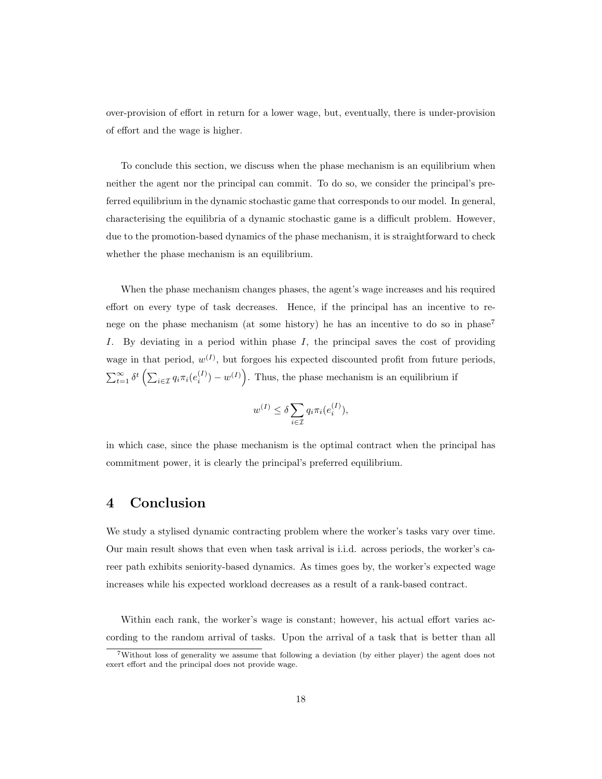over-provision of effort in return for a lower wage, but, eventually, there is under-provision of effort and the wage is higher.

To conclude this section, we discuss when the phase mechanism is an equilibrium when neither the agent nor the principal can commit. To do so, we consider the principal's preferred equilibrium in the dynamic stochastic game that corresponds to our model. In general, characterising the equilibria of a dynamic stochastic game is a difficult problem. However, due to the promotion-based dynamics of the phase mechanism, it is straightforward to check whether the phase mechanism is an equilibrium.

When the phase mechanism changes phases, the agent's wage increases and his required effort on every type of task decreases. Hence, if the principal has an incentive to renege on the phase mechanism (at some history) he has an incentive to do so in phase<sup>7</sup> I. By deviating in a period within phase I, the principal saves the cost of providing wage in that period,  $w^{(I)}$ , but forgoes his expected discounted profit from future periods,  $\sum_{t=1}^{\infty} \delta^t \left( \sum_{i \in \mathcal{I}} q_i \pi_i(e_i^{(I)}) - w^{(I)} \right)$ . Thus, the phase mechanism is an equilibrium if

$$
w^{(I)} \le \delta \sum_{i \in \mathcal{I}} q_i \pi_i(e_i^{(I)}),
$$

in which case, since the phase mechanism is the optimal contract when the principal has commitment power, it is clearly the principal's preferred equilibrium.

## 4 Conclusion

We study a stylised dynamic contracting problem where the worker's tasks vary over time. Our main result shows that even when task arrival is i.i.d. across periods, the worker's career path exhibits seniority-based dynamics. As times goes by, the worker's expected wage increases while his expected workload decreases as a result of a rank-based contract.

Within each rank, the worker's wage is constant; however, his actual effort varies according to the random arrival of tasks. Upon the arrival of a task that is better than all

<sup>7</sup>Without loss of generality we assume that following a deviation (by either player) the agent does not exert effort and the principal does not provide wage.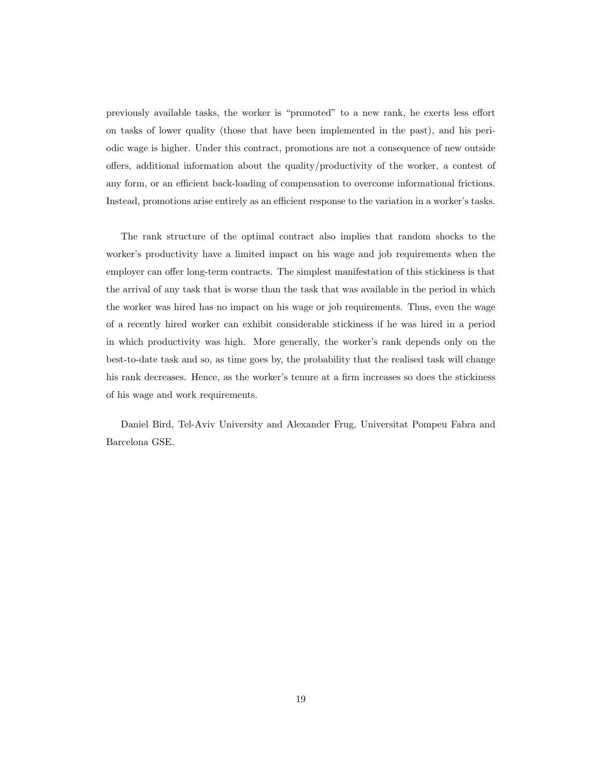previously available tasks, the worker is "promoted" to a new rank, he exerts less effort on tasks of lower quality (those that have been implemented in the past), and his periodic wage is higher. Under this contract, promotions are not a consequence of new outside offers, additional information about the quality/productivity of the worker, a contest of any form, or an efficient back-loading of compensation to overcome informational frictions. Instead, promotions arise entirely as an efficient response to the variation in a worker's tasks.

The rank structure of the optimal contract also implies that random shocks to the worker's productivity have a limited impact on his wage and job requirements when the employer can offer long-term contracts. The simplest manifestation of this stickiness is that the arrival of any task that is worse than the task that was available in the period in which the worker was hired has no impact on his wage or job requirements. Thus, even the wage of a recently hired worker can exhibit considerable stickiness if he was hired in a period in which productivity was high. More generally, the worker's rank depends only on the best-to-date task and so, as time goes by, the probability that the realised task will change his rank decreases. Hence, as the worker's tenure at a firm increases so does the stickiness of his wage and work requirements.

Daniel Bird, Tel-Aviv University and Alexander Frug, Universitat Pompeu Fabra and Barcelona GSE.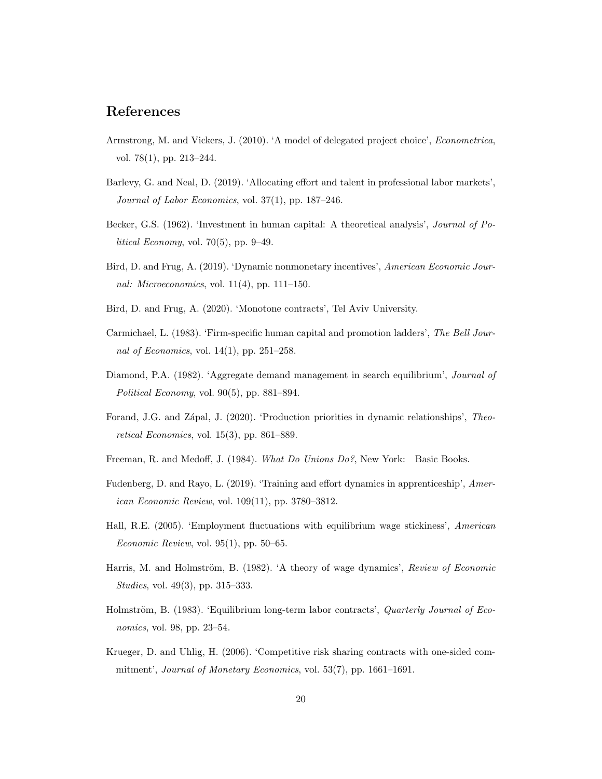### References

- Armstrong, M. and Vickers, J. (2010). 'A model of delegated project choice', Econometrica, vol. 78(1), pp. 213–244.
- Barlevy, G. and Neal, D. (2019). 'Allocating effort and talent in professional labor markets', Journal of Labor Economics, vol. 37(1), pp. 187–246.
- Becker, G.S. (1962). 'Investment in human capital: A theoretical analysis', Journal of Political Economy, vol. 70(5), pp. 9–49.
- Bird, D. and Frug, A. (2019). 'Dynamic nonmonetary incentives', American Economic Journal: Microeconomics, vol. 11(4), pp. 111–150.
- Bird, D. and Frug, A. (2020). 'Monotone contracts', Tel Aviv University.
- Carmichael, L. (1983). 'Firm-specific human capital and promotion ladders', The Bell Journal of Economics, vol. 14(1), pp. 251–258.
- Diamond, P.A. (1982). 'Aggregate demand management in search equilibrium', Journal of Political Economy, vol.  $90(5)$ , pp.  $881-894$ .
- Forand, J.G. and Zápal, J. (2020). 'Production priorities in dynamic relationships', Theoretical Economics, vol. 15(3), pp. 861–889.
- Freeman, R. and Medoff, J. (1984). What Do Unions Do?, New York: Basic Books.
- Fudenberg, D. and Rayo, L. (2019). 'Training and effort dynamics in apprenticeship', American Economic Review, vol. 109(11), pp. 3780–3812.
- Hall, R.E. (2005). 'Employment fluctuations with equilibrium wage stickiness', American Economic Review, vol.  $95(1)$ , pp.  $50-65$ .
- Harris, M. and Holmström, B. (1982). 'A theory of wage dynamics', Review of Economic Studies, vol. 49(3), pp. 315–333.
- Holmström, B. (1983). 'Equilibrium long-term labor contracts', *Quarterly Journal of Eco*nomics, vol. 98, pp. 23–54.
- Krueger, D. and Uhlig, H. (2006). 'Competitive risk sharing contracts with one-sided commitment', Journal of Monetary Economics, vol. 53(7), pp. 1661–1691.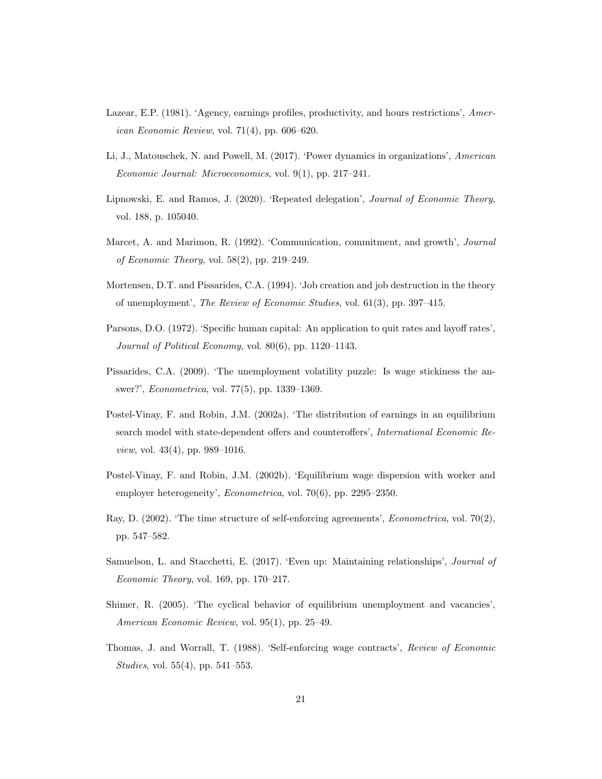- Lazear, E.P. (1981). 'Agency, earnings profiles, productivity, and hours restrictions', American Economic Review, vol. 71(4), pp. 606–620.
- Li, J., Matouschek, N. and Powell, M. (2017). 'Power dynamics in organizations', American Economic Journal: Microeconomics, vol. 9(1), pp. 217–241.
- Lipnowski, E. and Ramos, J. (2020). 'Repeated delegation', Journal of Economic Theory, vol. 188, p. 105040.
- Marcet, A. and Marimon, R. (1992). 'Communication, commitment, and growth', Journal of Economic Theory, vol. 58(2), pp. 219–249.
- Mortensen, D.T. and Pissarides, C.A. (1994). 'Job creation and job destruction in the theory of unemployment', The Review of Economic Studies, vol. 61(3), pp. 397–415.
- Parsons, D.O. (1972). 'Specific human capital: An application to quit rates and layoff rates', Journal of Political Economy, vol. 80(6), pp. 1120–1143.
- Pissarides, C.A. (2009). 'The unemployment volatility puzzle: Is wage stickiness the answer?', Econometrica, vol. 77(5), pp. 1339–1369.
- Postel-Vinay, F. and Robin, J.M. (2002a). 'The distribution of earnings in an equilibrium search model with state-dependent offers and counteroffers', International Economic Re*view*, vol.  $43(4)$ , pp.  $989-1016$ .
- Postel-Vinay, F. and Robin, J.M. (2002b). 'Equilibrium wage dispersion with worker and employer heterogeneity', *Econometrica*, vol. 70(6), pp. 2295–2350.
- Ray, D. (2002). 'The time structure of self-enforcing agreements', Econometrica, vol. 70(2), pp. 547–582.
- Samuelson, L. and Stacchetti, E. (2017). 'Even up: Maintaining relationships', Journal of Economic Theory, vol. 169, pp. 170–217.
- Shimer, R. (2005). 'The cyclical behavior of equilibrium unemployment and vacancies', American Economic Review, vol. 95(1), pp. 25–49.
- Thomas, J. and Worrall, T. (1988). 'Self-enforcing wage contracts', Review of Economic Studies, vol. 55(4), pp. 541–553.